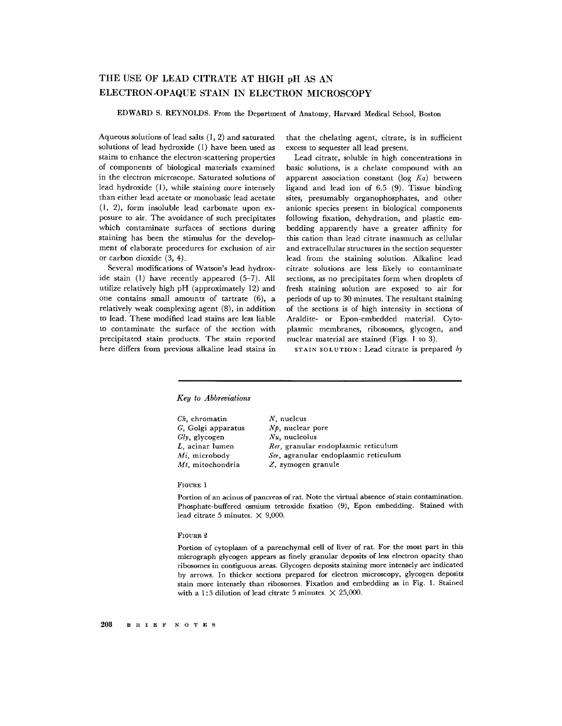# **THE USE OF LEAD CITRATE AT HIGH pH AS AN ELECTRON-OPAQUE STAIN IN ELECTRON MICROSCOPY**

EDWARD S. REYNOLDS. From the Department of Anatomy, Harvard Medical School, Boston

Aqueous solutions of lead salts (1, 2) and saturated solutions of lead hydroxide (1) have been used as stains to enhance the electron-scattering properties of components of biological materials examined in the electron microscope. Saturated solutions of lead hydroxide (1), while staining more intensely than either lead acetate or monobasic lead acetate (l, 2), form insoluble lead carbonate upon exposure to air. The avoidance of such precipitates which contaminate surfaces of sections during staining has been the stimulus for the development of elaborate procedures for exclusion of air or carbon dioxide (3, 4).

Several modifications of Watson's lead hydroxide stain (1) have recently appeared (5-7). All utilize relatively high pH (approximately 12) and one contains small amounts of tartrate (6), a relatively weak complexing agent (8), in addition to lead. These modified lead stains are less liable to contaminate the surface of the section with precipitated stain products. The stain reported here differs from previous alkaline lead stains in that the chelating agent, citrate, is in sufficient excess to sequester all lead present.

Lead citrate, soluble in high concentrations in basic solutions, is a chelate compound with an apparent association constant (log *Ka)* between ligand and lead ion of 6.5 (9). Tissue binding sites, presumably organophosphates, and other anionic species present in biological components following fixation, dehydration, and plastic embedding apparently have a greater affinity for this cation than lead citrate inasmuch as cellular and extracellular structures in the section sequester lead from the staining solution. Alkaline lead citrate solutions are less likely to contaminate sections, as no precipitates form when droplets of fresh staining solution are exposed to air for periods of up to 30 minutes. The resultant staining of the sections is of high intensity in sections of Araldite- or Epon-embedded material. Cytoplasmic membranes, ribosomes, glycogen, and nuclear material are stained (Figs. 1 to 3).

STAIN SOLUTION: Lead citrate is prepared *by* 

### *Key to Abbreviations*

*Ch,* chromatin G, Golgi apparatus *Gly,* glycogen L, acinar lumen *Mi,* microbody *Mt,* mitochondria N, nucleus *Np,* nuclear pore *Nu,* nucleolus *Rer,* granular endoplasmie reticulum *Ser,* agranular endoplasmic reticulum Z, zymogen granule

#### FIGURE ]

Portion of an acinus of pancreas of rat. Note the virtual absence of stain contamination. Phosphate-buffered osmium tetroxide fixation (9), Epon embedding. Stained with lead citrate 5 minutes.  $\times$  9,000.

#### FIGURE 2

Portion of cytoplasm of a parcnchymal cell of liver of rat. For the most part in this micrograph glycogen appears as finely granular deposits of less electron opacity than ribosomes in contiguous areas. Glycogen deposits staining more intensely are indicated by arrows. In thicker sections prepared for electron microscopy, glycogen deposits stain more intensely than ribosomes. Fixation and embedding as in Fig. 1. Stained with a 1:5 dilution of lead citrate 5 minutes.  $\times$  25,000.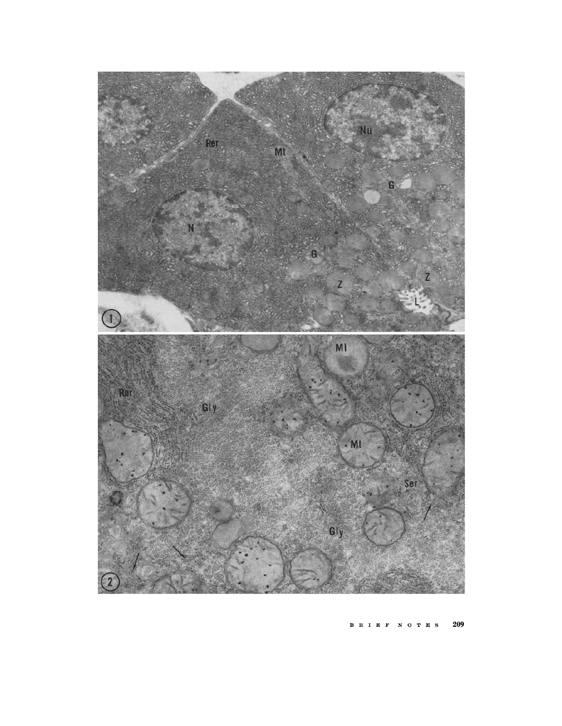

209 B R I E F N O T E S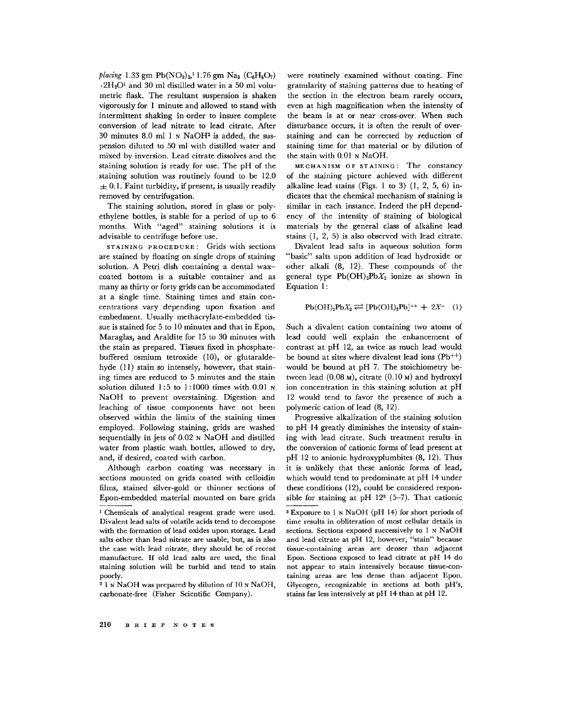*placing* 1.33 gm  $Pb(NO_3)_2$ , 1.76 gm  $Na_3$  ( $C_6H_5O_7$ )  $\cdot$  2H<sub>2</sub>O<sup>1</sup> and 30 ml distilled water in a 50 ml volumetric flask. The resultant suspension is shaken vigorously for 1 minute and allowed to stand with intermittent shaking in order to insure complete conversion of lead nitrate to lead citrate. After 30 minutes 8.0 ml 1  $\text{N}$  NaOH<sup>2</sup> is added, the suspension diluted to 50 ml with distilled water and mixed by inversion. Lead citrate dissolves and the staining solution is ready for use. The pH of the staining solution was routinely found to be 12.0  $\pm$  0.1. Faint turbidity, if present, is usually readily removed by centrifugation.

The staining solution, stored in glass or polyethylene bottles, is stable for a period of up to 6 months. With "aged" staining solutions it is advisable to centrifuge before use.

**STAINING PROCEDURE:** Grids with sections are stained by floating on single drops of staining solution. A Petri dish containing a dental waxcoated bottom is a suitable container and as many as thirty or forty grids can be accommodated at a single time. Staining times and stain concentrations vary depending upon fixation and embedment. Usually methacrylate-embedded tissue is stained for 5 to 10 minutes and that in Epon, Maraglas, and Araldite for 15 to 30 minutes with the stain as prepared. Tissues fixed in phosphatebuffered osmium tetroxide (10), or glutaraldehyde (11) stain so intensely, however, that staining times are reduced to 5 minutes and the stain solution diluted 1:5 to 1:1000 times with 0.01 N NaOH to prevent overstaining. Digestion and leaching of tissue components have not been observed within the limits of the staining times employed. Following staining, grids are washed sequentially in jets of 0.02 N NaOH and distilled water from plastic wash bottles, allowed to dry, and, if desired, coated with carbon.

Although carbon coating was necessary in sections mounted on grids coated with celloidin films, stained silver-gold or thinner sections of Epon-embedded material mounted on bare grids

were routinely examined without coating. Fine granularity of staining patterns due to heating of the section in the electron beam rarely occurs, even at high magnification when the intensity of the beam is at or near cross-over. When such disturbance occurs, it is often the result of overstaining and can be corrected by reduction of staining time for that material or by dilution of the stain with 0.01 N NaOH.

MECHANISM OF STAINING : The constancy of the staining picture achieved with different alkaline lead stains (Figs. 1 to 3)  $(1, 2, 5, 6)$  indicates that the chemical mechanism of staining is similar in each instance. Indeed the pH dependency of the intensity of staining of biological materials by the general class of alkaline lead stains (1, 2, 5) is also observed with lead citrate.

Divalent lead salts in aqueous solution form "basic" salts upon addition of lead hydroxide or other alkali (8, 12). These compounds of the general type  $Pb(OH)_{2}PbX_{2}$  ionize as shown in Equation 1:

$$
Pb(OH)_2PbX_2 \rightleftharpoons [Pb(OH)_2Pb]^{++} + 2X^- (1)
$$

Such a divalent cation containing two atoms of lead could well explain the enhancement of contrast at pH 12, as twice as much lead would be bound at sites where divalent lead ions  $(Pb^{++})$ would be bound at pH 7. The stoichiometry between lead (0.08 M), citrate (0.10 M) and hydroxyl ion concentration in this staining solution at pH 12 would tend to favor the presence of such a polymeric cation of lead (8, 12).

Progressive alkalization of the staining solution to pH 14 greatly diminishes the intensity of staining with lead citrate. Such treatment results in the conversion of cationic forms of lead present at pH 12 to anionic hydroxyplumbites (8, 12). Thus it is unlikely that these anionic forms of lead, which would tend to predominate at pH 14 under these conditions (12), could be considered responsible for staining at pH  $12^3$  (5-7). That cationic

<sup>1</sup> Chemicals of analytical reagent grade were used. Divalent lead salts of volatile acids tend to decompose with the formation of lead oxides upon storage. Lead salts other than lead nitrate are usable, but, as is also the case with lead nitrate, they should be of recent manufacture. If old lead salts are used, the final staining solution will be turbid and tend to stain poorly.

<sup>&</sup>lt;sup>2</sup> 1 N NaOH was prepared by dilution of 10 N NaOH, carbonate-free (Fisher Scientific Company).

<sup>3</sup> Exposure to 1 N NaOH (pH 14) for short periods of time results in obliteration of most cellular details in sections. Sections exposed successively to 1 N NaOH and lead citrate at pH 12, however, "stain" because tissue-containing areas are denser than adjacent Epon. Sections exposed to lead citrate at pH 14 do not appear to stain intensively because tissue-containing areas are less dense than adjacent Epon. Glycogen, recognizable in sections at both pH's, stains far less intensively at pH 14 than at pH 12.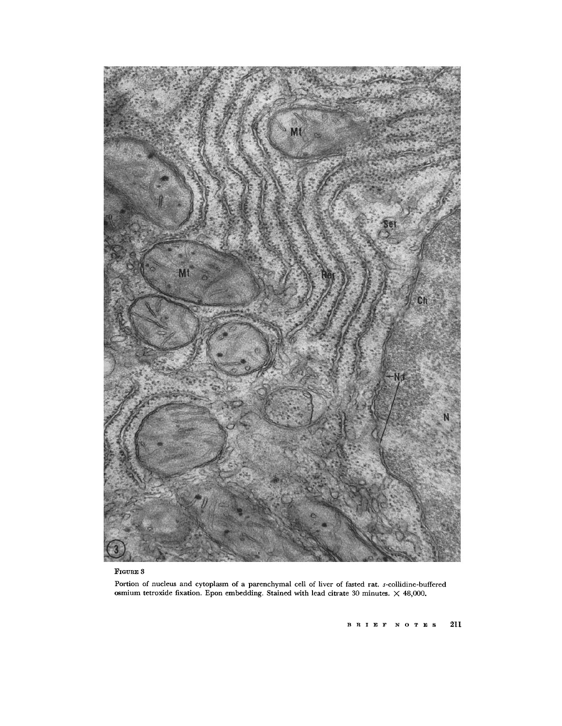

## FIGURE  $3$

Portion of nucleus and cytoplasm of a parenchymal cell of liver of fasted rat. s-collidine-buffered osmium tetroxide fixation. Epon embedding. Stained with lead citrate 30 minutes.  $\times$  48,000.